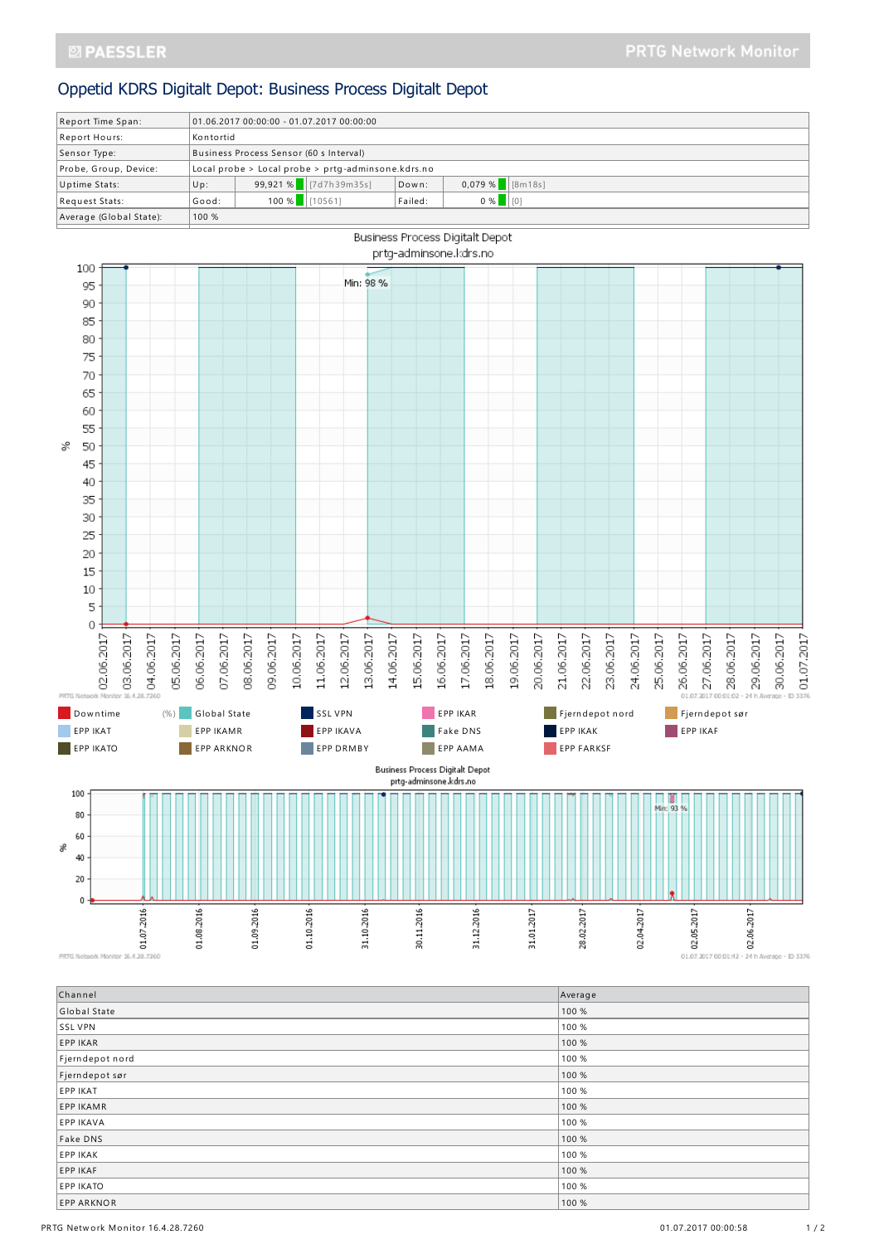## Oppetid KDRS Digitalt Depot: Business Process Digitalt Depot

| Report Time Span:       | $01.06.201700:00:00 - 01.07.201700:00:00$          |                         |         |                      |  |  |
|-------------------------|----------------------------------------------------|-------------------------|---------|----------------------|--|--|
| Report Hours:           | Kontortid                                          |                         |         |                      |  |  |
| Sensor Type:            | Business Process Sensor (60 s Interval)            |                         |         |                      |  |  |
| Probe, Group, Device:   | Local probe > Local probe > prtg-adminsone.kdrs.no |                         |         |                      |  |  |
| Uptime Stats:           | Up:                                                | 99,921 % $ 7d7h39m35s $ | Down:   | $0.079\%$ [8m18s]    |  |  |
| Request Stats:          | Good:                                              | 100 %    [10561]        | Failed: | 0%<br>$\blacksquare$ |  |  |
| Average (Global State): | 100 %                                              |                         |         |                      |  |  |
|                         |                                                    |                         |         |                      |  |  |



PRTG Network Monitor 16.4.28.7260

| Channel           | Average |
|-------------------|---------|
| Global State      | 100 %   |
| SSL VPN           | 100 %   |
| EPP IKAR          | 100 %   |
| Fjerndepot nord   | 100 %   |
| Fjerndepot sør    | 100 %   |
| <b>EPP IKAT</b>   | 100 %   |
| <b>EPP IKAMR</b>  | 100 %   |
| <b>EPP IKAVA</b>  | 100 %   |
| Fake DNS          | 100 %   |
| <b>EPP IKAK</b>   | 100 %   |
| <b>EPP IKAF</b>   | 100 %   |
| <b>EPP IKATO</b>  | 100 %   |
| <b>EPP ARKNOR</b> | 100 %   |